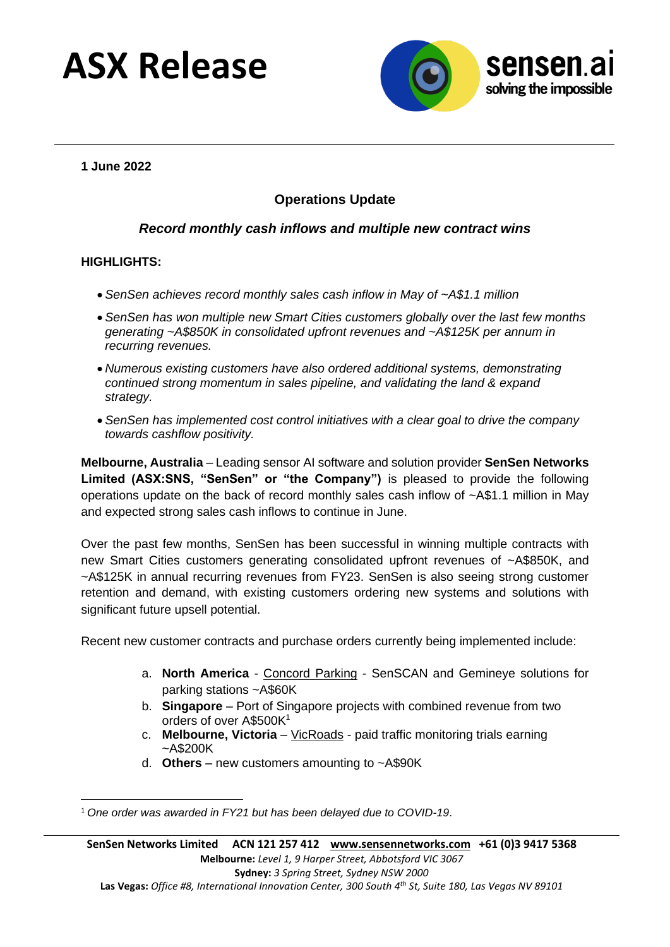# **ASX Release**



**1 June 2022**

# **Operations Update**

## *Record monthly cash inflows and multiple new contract wins*

### **HIGHLIGHTS:**

- *SenSen achieves record monthly sales cash inflow in May of ~A\$1.1 million*
- *SenSen has won multiple new Smart Cities customers globally over the last few months generating ~A\$850K in consolidated upfront revenues and ~A\$125K per annum in recurring revenues.*
- *Numerous existing customers have also ordered additional systems, demonstrating continued strong momentum in sales pipeline, and validating the land & expand strategy.*
- *SenSen has implemented cost control initiatives with a clear goal to drive the company towards cashflow positivity.*

**Melbourne, Australia** – Leading sensor AI software and solution provider **SenSen Networks Limited (ASX:SNS, "SenSen" or "the Company")** is pleased to provide the following operations update on the back of record monthly sales cash inflow of ~A\$1.1 million in May and expected strong sales cash inflows to continue in June.

Over the past few months, SenSen has been successful in winning multiple contracts with new Smart Cities customers generating consolidated upfront revenues of ~A\$850K, and ~A\$125K in annual recurring revenues from FY23. SenSen is also seeing strong customer retention and demand, with existing customers ordering new systems and solutions with significant future upsell potential.

Recent new customer contracts and purchase orders currently being implemented include:

- a. **North America** [Concord Parking](http://www.concordparking.com/) SenSCAN and Gemineye solutions for parking stations ~A\$60K
- b. **Singapore** Port of Singapore projects with combined revenue from two orders of over A\$500K<sup>1</sup>
- c. **Melbourne, Victoria** [VicRoads](http://www.vicroads.vic.gov.au/) paid traffic monitoring trials earning ~A\$200K
- d. **Others** new customers amounting to ~A\$90K

<sup>1</sup> *One order was awarded in FY21 but has been delayed due to COVID-19*.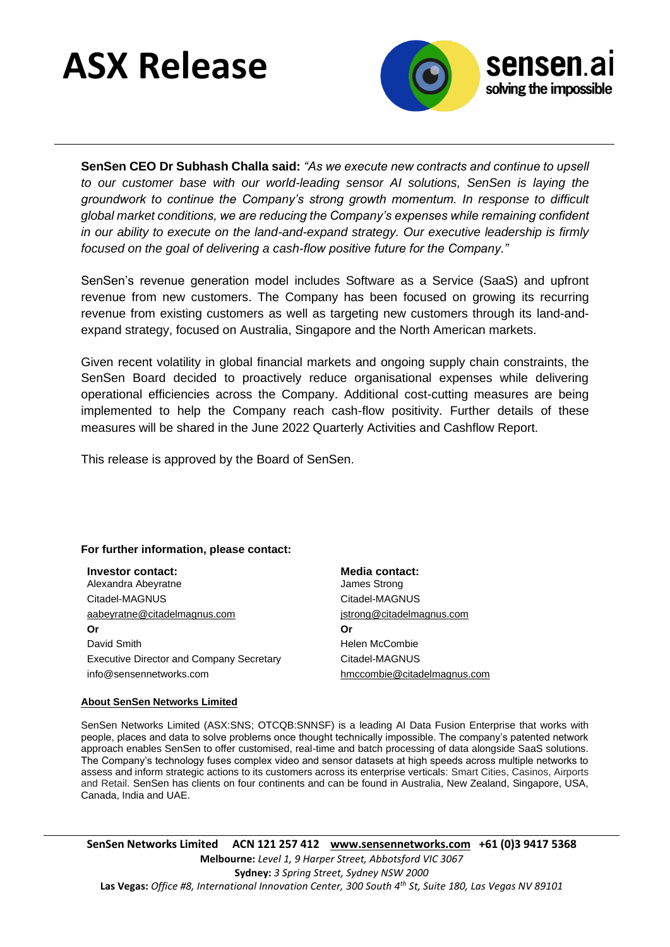



**SenSen CEO Dr Subhash Challa said:** *"As we execute new contracts and continue to upsell to our customer base with our world-leading sensor AI solutions, SenSen is laying the groundwork to continue the Company's strong growth momentum. In response to difficult global market conditions, we are reducing the Company's expenses while remaining confident in our ability to execute on the land-and-expand strategy. Our executive leadership is firmly focused on the goal of delivering a cash-flow positive future for the Company."*

SenSen's revenue generation model includes Software as a Service (SaaS) and upfront revenue from new customers. The Company has been focused on growing its recurring revenue from existing customers as well as targeting new customers through its land-andexpand strategy, focused on Australia, Singapore and the North American markets.

Given recent volatility in global financial markets and ongoing supply chain constraints, the SenSen Board decided to proactively reduce organisational expenses while delivering operational efficiencies across the Company. Additional cost-cutting measures are being implemented to help the Company reach cash-flow positivity. Further details of these measures will be shared in the June 2022 Quarterly Activities and Cashflow Report.

This release is approved by the Board of SenSen.

#### **For further information, please contact:**

| Investor contact:                               | Media contact:              |
|-------------------------------------------------|-----------------------------|
| Alexandra Abeyratne                             | James Strong                |
| Citadel-MAGNUS                                  | Citadel-MAGNUS              |
| aabeyratne@citadelmagnus.com                    | jstrong@citadelmagnus.com   |
| Or                                              | Or                          |
| David Smith                                     | Helen McCombie              |
| <b>Executive Director and Company Secretary</b> | Citadel-MAGNUS              |
| info@sensennetworks.com                         | hmccombie@citadelmagnus.com |

#### **About SenSen Networks Limited**

SenSen Networks Limited (ASX:SNS; OTCQB:SNNSF) is a leading AI Data Fusion Enterprise that works with people, places and data to solve problems once thought technically impossible. The company's patented network approach enables SenSen to offer customised, real-time and batch processing of data alongside SaaS solutions. The Company's technology fuses complex video and sensor datasets at high speeds across multiple networks to assess and inform strategic actions to its customers across its enterprise verticals: Smart Cities, Casinos, Airports and Retail. SenSen has clients on four continents and can be found in Australia, New Zealand, Singapore, USA, Canada, India and UAE.

**SenSen Networks Limited ACN 121 257 412 [www.sensennetworks.com](http://www.sensennetworks.com/) +61 (0)3 9417 5368 Melbourne:** *Level 1, 9 Harper Street, Abbotsford VIC 3067* **Sydney:** *3 Spring Street, Sydney NSW 2000* **Las Vegas:** *Office #8, International Innovation Center, 300 South 4th St, Suite 180, Las Vegas NV 89101*